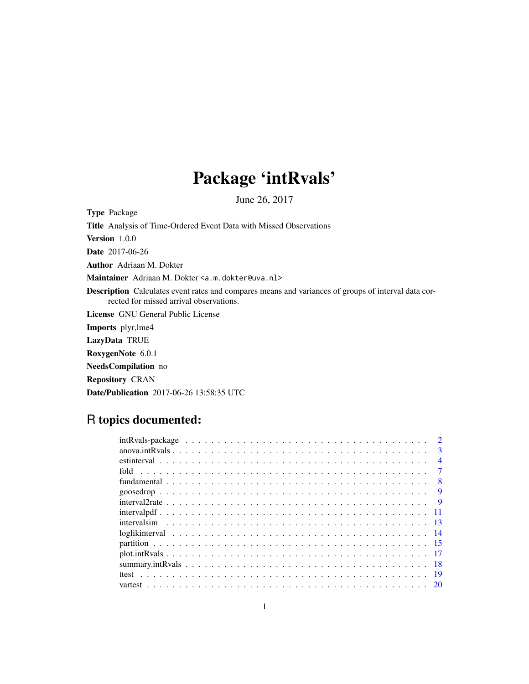## Package 'intRvals'

June 26, 2017

<span id="page-0-0"></span>Type Package

Title Analysis of Time-Ordered Event Data with Missed Observations

Version 1.0.0

Date 2017-06-26

Author Adriaan M. Dokter

Maintainer Adriaan M. Dokter <a.m.dokter@uva.nl>

Description Calculates event rates and compares means and variances of groups of interval data corrected for missed arrival observations.

License GNU General Public License

Imports plyr,lme4

LazyData TRUE

RoxygenNote 6.0.1

NeedsCompilation no

Repository CRAN

Date/Publication 2017-06-26 13:58:35 UTC

### R topics documented:

|                                                                                                                             |  |  |  |  |  |  |  |  |  |  |  |  |  |  |  |  |  | $\mathbf{R}$   |
|-----------------------------------------------------------------------------------------------------------------------------|--|--|--|--|--|--|--|--|--|--|--|--|--|--|--|--|--|----------------|
|                                                                                                                             |  |  |  |  |  |  |  |  |  |  |  |  |  |  |  |  |  | $\overline{4}$ |
|                                                                                                                             |  |  |  |  |  |  |  |  |  |  |  |  |  |  |  |  |  |                |
|                                                                                                                             |  |  |  |  |  |  |  |  |  |  |  |  |  |  |  |  |  | 8              |
|                                                                                                                             |  |  |  |  |  |  |  |  |  |  |  |  |  |  |  |  |  | 9              |
| $interval2rate \dots \dots \dots \dots \dots \dots \dots \dots \dots \dots \dots \dots \dots \dots \dots \dots \dots \dots$ |  |  |  |  |  |  |  |  |  |  |  |  |  |  |  |  |  | -9             |
| $intervalpdf \dots \dots \dots \dots \dots \dots \dots \dots \dots \dots \dots \dots \dots \dots \dots \dots \dots$         |  |  |  |  |  |  |  |  |  |  |  |  |  |  |  |  |  |                |
|                                                                                                                             |  |  |  |  |  |  |  |  |  |  |  |  |  |  |  |  |  |                |
|                                                                                                                             |  |  |  |  |  |  |  |  |  |  |  |  |  |  |  |  |  |                |
|                                                                                                                             |  |  |  |  |  |  |  |  |  |  |  |  |  |  |  |  |  |                |
|                                                                                                                             |  |  |  |  |  |  |  |  |  |  |  |  |  |  |  |  |  |                |
|                                                                                                                             |  |  |  |  |  |  |  |  |  |  |  |  |  |  |  |  |  |                |
|                                                                                                                             |  |  |  |  |  |  |  |  |  |  |  |  |  |  |  |  |  | -19            |
|                                                                                                                             |  |  |  |  |  |  |  |  |  |  |  |  |  |  |  |  |  |                |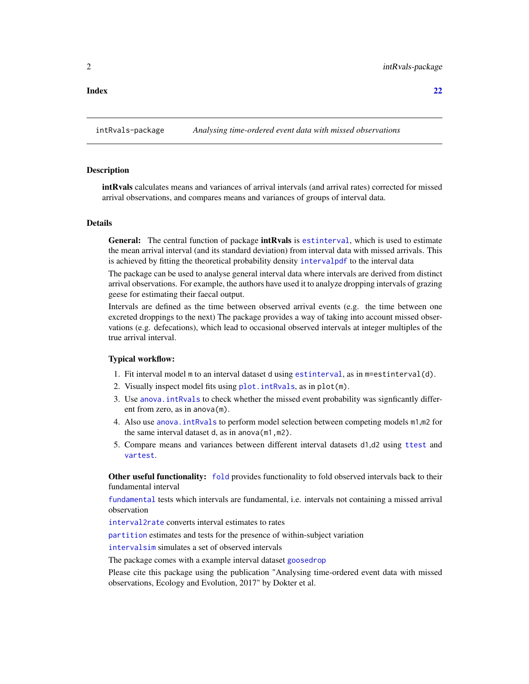#### <span id="page-1-0"></span>**Index** [22](#page-21-0)

#### **Description**

intRvals calculates means and variances of arrival intervals (and arrival rates) corrected for missed arrival observations, and compares means and variances of groups of interval data.

#### Details

General: The central function of package **intRvals** is [estinterval](#page-3-1), which is used to estimate the mean arrival interval (and its standard deviation) from interval data with missed arrivals. This is achieved by fitting the theoretical probability density [intervalpdf](#page-10-1) to the interval data

The package can be used to analyse general interval data where intervals are derived from distinct arrival observations. For example, the authors have used it to analyze dropping intervals of grazing geese for estimating their faecal output.

Intervals are defined as the time between observed arrival events (e.g. the time between one excreted droppings to the next) The package provides a way of taking into account missed observations (e.g. defecations), which lead to occasional observed intervals at integer multiples of the true arrival interval.

#### Typical workflow:

- 1. Fit interval model m to an interval dataset d using [estinterval](#page-3-1), as in m=estinterval(d).
- 2. Visually inspect model fits using [plot.intRvals](#page-16-1), as in plot(m).
- 3. Use [anova.intRvals](#page-2-1) to check whether the missed event probability was signficantly different from zero, as in anova(m).
- 4. Also use [anova.intRvals](#page-2-1) to perform model selection between competing models m1,m2 for the same interval dataset d, as in anova(m1,m2).
- 5. Compare means and variances between different interval datasets d1,d2 using [ttest](#page-18-1) and [vartest](#page-19-1).

Other useful functionality: [fold](#page-6-1) provides functionality to fold observed intervals back to their fundamental interval

[fundamental](#page-7-1) tests which intervals are fundamental, i.e. intervals not containing a missed arrival observation

[interval2rate](#page-8-1) converts interval estimates to rates

[partition](#page-14-1) estimates and tests for the presence of within-subject variation

[intervalsim](#page-12-1) simulates a set of observed intervals

The package comes with a example interval dataset [goosedrop](#page-8-2)

Please cite this package using the publication "Analysing time-ordered event data with missed observations, Ecology and Evolution, 2017" by Dokter et al.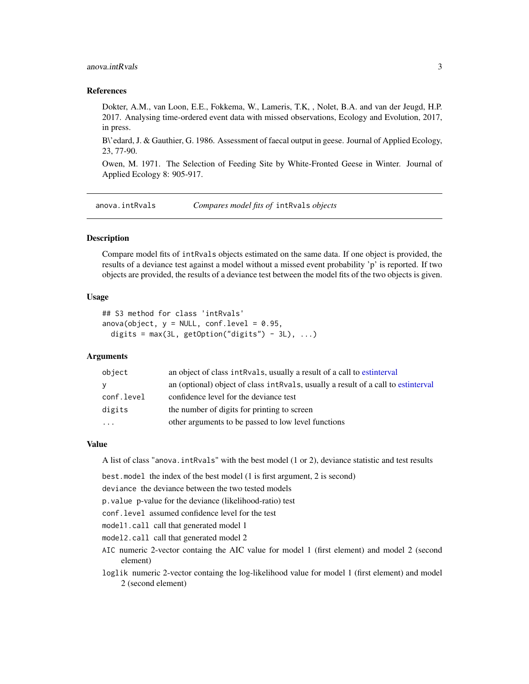#### <span id="page-2-0"></span>anova.intRvals 3

#### References

Dokter, A.M., van Loon, E.E., Fokkema, W., Lameris, T.K, , Nolet, B.A. and van der Jeugd, H.P. 2017. Analysing time-ordered event data with missed observations, Ecology and Evolution, 2017, in press.

B\'edard, J. & Gauthier, G. 1986. Assessment of faecal output in geese. Journal of Applied Ecology, 23, 77-90.

Owen, M. 1971. The Selection of Feeding Site by White-Fronted Geese in Winter. Journal of Applied Ecology 8: 905-917.

<span id="page-2-1"></span>anova.intRvals *Compares model fits of* intRvals *objects*

#### Description

Compare model fits of intRvals objects estimated on the same data. If one object is provided, the results of a deviance test against a model without a missed event probability 'p' is reported. If two objects are provided, the results of a deviance test between the model fits of the two objects is given.

#### Usage

```
## S3 method for class 'intRvals'
anova(object, y = NULL, conf.level = 0.95,
  digits = max(3L, getOption("digits") - 3L), ...
```
### **Arguments**

| object     | an object of class intravals, usually a result of a call to estinterval           |
|------------|-----------------------------------------------------------------------------------|
| <b>y</b>   | an (optional) object of class intRvals, usually a result of a call to estinterval |
| conf.level | confidence level for the deviance test                                            |
| digits     | the number of digits for printing to screen                                       |
| $\cdots$   | other arguments to be passed to low level functions                               |

#### Value

A list of class "anova.intRvals" with the best model (1 or 2), deviance statistic and test results

best.model the index of the best model (1 is first argument, 2 is second)

deviance the deviance between the two tested models

p.value p-value for the deviance (likelihood-ratio) test

conf.level assumed confidence level for the test

model1.call call that generated model 1

model2.call call that generated model 2

- AIC numeric 2-vector containg the AIC value for model 1 (first element) and model 2 (second element)
- loglik numeric 2-vector containg the log-likelihood value for model 1 (first element) and model 2 (second element)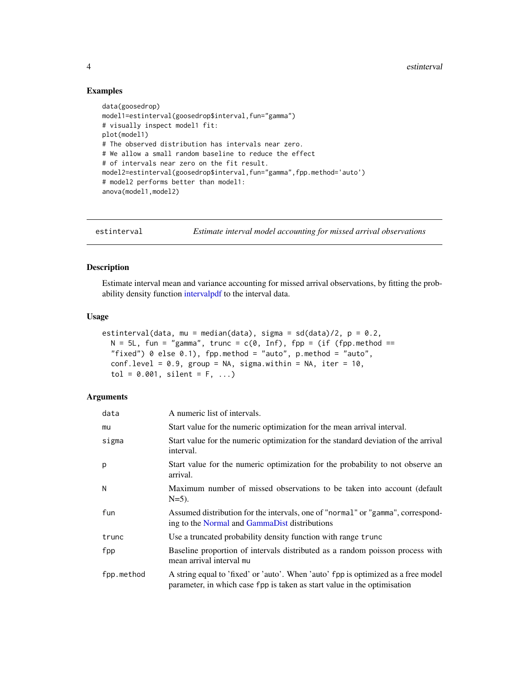#### Examples

```
data(goosedrop)
model1=estinterval(goosedrop$interval,fun="gamma")
# visually inspect model1 fit:
plot(model1)
# The observed distribution has intervals near zero.
# We allow a small random baseline to reduce the effect
# of intervals near zero on the fit result.
model2=estinterval(goosedrop$interval,fun="gamma",fpp.method='auto')
# model2 performs better than model1:
anova(model1,model2)
```
<span id="page-3-1"></span>estinterval *Estimate interval model accounting for missed arrival observations*

#### Description

Estimate interval mean and variance accounting for missed arrival observations, by fitting the probability density function [intervalpdf](#page-10-1) to the interval data.

#### Usage

```
estinterval(data, mu = median(data), sigma = sd(data)/2, p = 0.2,
  N = 5L, fun = "gamma", trunc = c(0, Inf), fpp = (if (fpp.method ==
  "fixed") 0 else 0.1), fpp.method = "auto", p.method = "auto",
  conf<math>. level = 0.9, group = NA, sigma\_within = NA, iter = 10,
  tol = 0.001, silent = F, ...
```

| data       | A numeric list of intervals.                                                                                                                                  |
|------------|---------------------------------------------------------------------------------------------------------------------------------------------------------------|
| mu         | Start value for the numeric optimization for the mean arrival interval.                                                                                       |
| sigma      | Start value for the numeric optimization for the standard deviation of the arrival<br>interval.                                                               |
| р          | Start value for the numeric optimization for the probability to not observe an<br>arrival.                                                                    |
| Ν          | Maximum number of missed observations to be taken into account (default)<br>$N=5$ ).                                                                          |
| fun        | Assumed distribution for the intervals, one of "normal" or "gamma", correspond-<br>ing to the Normal and GammaDist distributions                              |
| trunc      | Use a truncated probability density function with range trunc                                                                                                 |
| fpp        | Baseline proportion of intervals distributed as a random poisson process with<br>mean arrival interval mu                                                     |
| fpp.method | A string equal to 'fixed' or 'auto'. When 'auto' fpp is optimized as a free model<br>parameter, in which case fpp is taken as start value in the optimisation |

<span id="page-3-0"></span>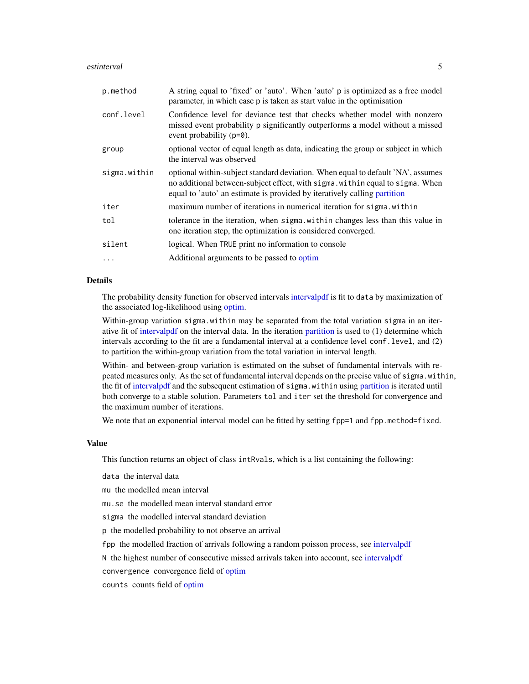#### <span id="page-4-0"></span>estinterval 5

| p.method     | A string equal to 'fixed' or 'auto'. When 'auto' p is optimized as a free model<br>parameter, in which case p is taken as start value in the optimisation                                                                                    |
|--------------|----------------------------------------------------------------------------------------------------------------------------------------------------------------------------------------------------------------------------------------------|
| conf.level   | Confidence level for deviance test that checks whether model with nonzero<br>missed event probability p significantly outperforms a model without a missed<br>event probability $(p=0)$ .                                                    |
| group        | optional vector of equal length as data, indicating the group or subject in which<br>the interval was observed                                                                                                                               |
| sigma.within | optional within-subject standard deviation. When equal to default 'NA', assumes<br>no additional between-subject effect, with sigma. within equal to sigma. When<br>equal to 'auto' an estimate is provided by iteratively calling partition |
| iter         | maximum number of iterations in numerical iteration for sigma. within                                                                                                                                                                        |
| tol          | tolerance in the iteration, when sigma within changes less than this value in<br>one iteration step, the optimization is considered converged.                                                                                               |
| silent       | logical. When TRUE print no information to console                                                                                                                                                                                           |
| $\ddots$     | Additional arguments to be passed to optim                                                                                                                                                                                                   |

#### Details

The probability density function for observed intervals [intervalpdf](#page-10-1) is fit to data by maximization of the associated log-likelihood using [optim.](#page-0-0)

Within-group variation sigma.within may be separated from the total variation sigma in an iterative fit of [intervalpdf](#page-10-1) on the interval data. In the iteration [partition](#page-14-1) is used to (1) determine which intervals according to the fit are a fundamental interval at a confidence level conf.level, and (2) to partition the within-group variation from the total variation in interval length.

Within- and between-group variation is estimated on the subset of fundamental intervals with repeated measures only. As the set of fundamental interval depends on the precise value of sigma.within, the fit of [intervalpdf](#page-10-1) and the subsequent estimation of sigma.within using [partition](#page-14-1) is iterated until both converge to a stable solution. Parameters tol and iter set the threshold for convergence and the maximum number of iterations.

We note that an exponential interval model can be fitted by setting fpp=1 and fpp.method=fixed.

#### Value

This function returns an object of class intRvals, which is a list containing the following:

data the interval data

mu the modelled mean interval

mu.se the modelled mean interval standard error

sigma the modelled interval standard deviation

p the modelled probability to not observe an arrival

fpp the modelled fraction of arrivals following a random poisson process, see [intervalpdf](#page-10-1)

N the highest number of consecutive missed arrivals taken into account, see [intervalpdf](#page-10-1)

convergence convergence field of [optim](#page-0-0)

counts counts field of [optim](#page-0-0)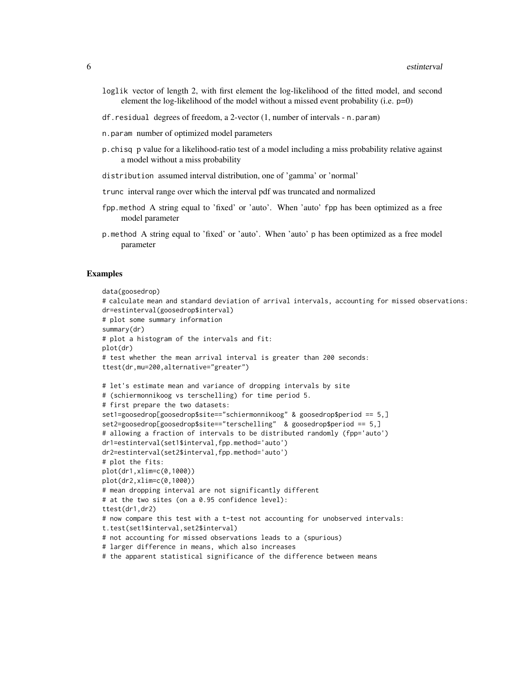- loglik vector of length 2, with first element the log-likelihood of the fitted model, and second element the log-likelihood of the model without a missed event probability (i.e.  $p=0$ )
- df.residual degrees of freedom, a 2-vector (1, number of intervals n.param)
- n.param number of optimized model parameters
- p.chisq p value for a likelihood-ratio test of a model including a miss probability relative against a model without a miss probability
- distribution assumed interval distribution, one of 'gamma' or 'normal'
- trunc interval range over which the interval pdf was truncated and normalized
- fpp.method A string equal to 'fixed' or 'auto'. When 'auto' fpp has been optimized as a free model parameter
- p.method A string equal to 'fixed' or 'auto'. When 'auto' p has been optimized as a free model parameter

#### Examples

```
data(goosedrop)
# calculate mean and standard deviation of arrival intervals, accounting for missed observations:
dr=estinterval(goosedrop$interval)
# plot some summary information
summary(dr)
# plot a histogram of the intervals and fit:
plot(dr)
# test whether the mean arrival interval is greater than 200 seconds:
ttest(dr,mu=200,alternative="greater")
# let's estimate mean and variance of dropping intervals by site
# (schiermonnikoog vs terschelling) for time period 5.
# first prepare the two datasets:
set1=goosedrop[goosedrop$site=="schiermonnikoog" & goosedrop$period == 5,]
set2=goosedrop[goosedrop$site=="terschelling" & goosedrop$period == 5,]
# allowing a fraction of intervals to be distributed randomly (fpp='auto')
dr1=estinterval(set1$interval,fpp.method='auto')
dr2=estinterval(set2$interval,fpp.method='auto')
# plot the fits:
plot(dr1,xlim=c(0,1000))
plot(dr2,xlim=c(0,1000))
# mean dropping interval are not significantly different
# at the two sites (on a 0.95 confidence level):
ttest(dr1,dr2)
# now compare this test with a t-test not accounting for unobserved intervals:
t.test(set1$interval,set2$interval)
# not accounting for missed observations leads to a (spurious)
# larger difference in means, which also increases
# the apparent statistical significance of the difference between means
```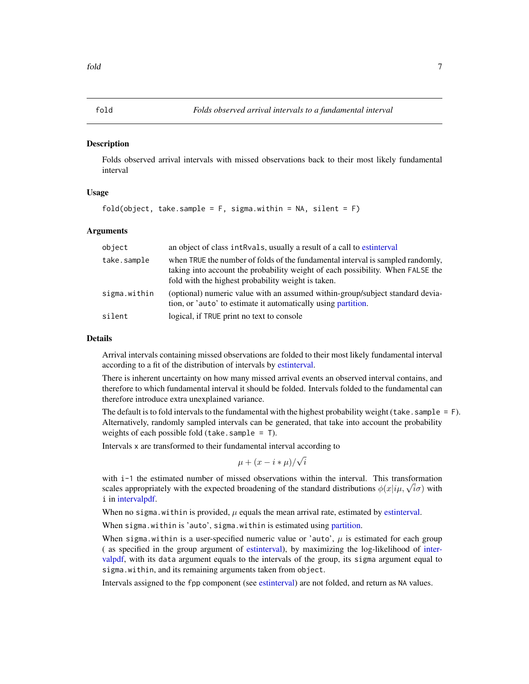#### <span id="page-6-1"></span><span id="page-6-0"></span>**Description**

Folds observed arrival intervals with missed observations back to their most likely fundamental interval

#### Usage

```
fold(object, take.sample = F, sigma.within = NA, silent = F)
```
#### Arguments

| object       | an object of class intRvals, usually a result of a call to estinterval                                                                                                                                                 |
|--------------|------------------------------------------------------------------------------------------------------------------------------------------------------------------------------------------------------------------------|
| take.sample  | when TRUE the number of folds of the fundamental interval is sampled randomly,<br>taking into account the probability weight of each possibility. When FALSE the<br>fold with the highest probability weight is taken. |
| sigma.within | (optional) numeric value with an assumed within-group/subject standard devia-<br>tion, or 'auto' to estimate it automatically using partition.                                                                         |
| silent       | logical, if TRUE print no text to console                                                                                                                                                                              |

#### Details

Arrival intervals containing missed observations are folded to their most likely fundamental interval according to a fit of the distribution of intervals by [estinterval.](#page-3-1)

There is inherent uncertainty on how many missed arrival events an observed interval contains, and therefore to which fundamental interval it should be folded. Intervals folded to the fundamental can therefore introduce extra unexplained variance.

The default is to fold intervals to the fundamental with the highest probability weight (take. sample  $=$  F). Alternatively, randomly sampled intervals can be generated, that take into account the probability weights of each possible fold (take. sample  $=$  T).

Intervals x are transformed to their fundamental interval according to

$$
\mu + (x - i * \mu) / \sqrt{i}
$$

with i-1 the estimated number of missed observations within the interval. This transformation with 1–1 the estimated number of missed observations within the interval. This transformation scales appropriately with the expected broadening of the standard distributions  $\phi(x|i\mu, \sqrt{i\sigma})$  with i in [intervalpdf.](#page-10-1)

When no sigma. within is provided,  $\mu$  equals the mean arrival rate, estimated by [estinterval.](#page-3-1)

When sigma.within is 'auto', sigma.within is estimated using [partition.](#page-14-1)

When sigma.within is a user-specified numeric value or 'auto',  $\mu$  is estimated for each group ( as specified in the group argument of [estinterval\)](#page-3-1), by maximizing the log-likelihood of [inter](#page-10-1)[valpdf,](#page-10-1) with its data argument equals to the intervals of the group, its sigma argument equal to sigma.within, and its remaining arguments taken from object.

Intervals assigned to the fpp component (see [estinterval\)](#page-3-1) are not folded, and return as NA values.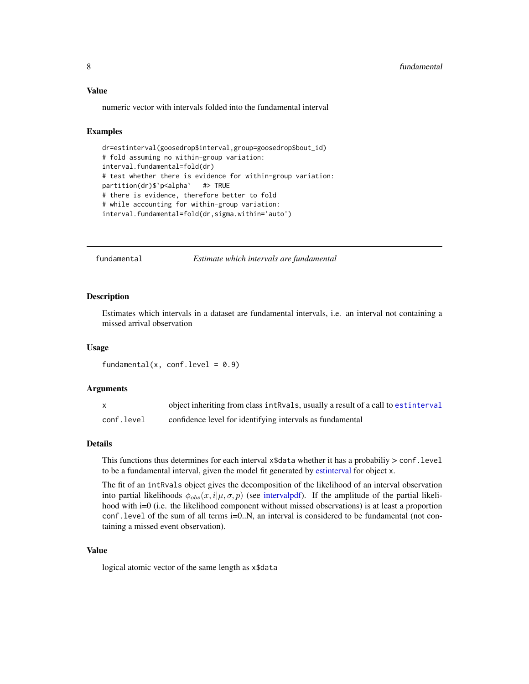<span id="page-7-0"></span>numeric vector with intervals folded into the fundamental interval

#### Examples

```
dr=estinterval(goosedrop$interval,group=goosedrop$bout_id)
# fold assuming no within-group variation:
interval.fundamental=fold(dr)
# test whether there is evidence for within-group variation:
partition(dr)$`p<alpha` #> TRUE
# there is evidence, therefore better to fold
# while accounting for within-group variation:
interval.fundamental=fold(dr,sigma.within='auto')
```
<span id="page-7-1"></span>fundamental *Estimate which intervals are fundamental*

#### Description

Estimates which intervals in a dataset are fundamental intervals, i.e. an interval not containing a missed arrival observation

#### Usage

fundamental(x, conf.level =  $0.9$ )

#### Arguments

| X          | object inheriting from class intRvals, usually a result of a call to estinterval |
|------------|----------------------------------------------------------------------------------|
| conf.level | confidence level for identifying intervals as fundamental                        |

#### Details

This functions thus determines for each interval x\$data whether it has a probabiliy > conf.level to be a fundamental interval, given the model fit generated by [estinterval](#page-3-1) for object x.

The fit of an intRvals object gives the decomposition of the likelihood of an interval observation into partial likelihoods  $\phi_{obs}(x, i | \mu, \sigma, p)$  (see [intervalpdf\)](#page-10-1). If the amplitude of the partial likelihood with i=0 (i.e. the likelihood component without missed observations) is at least a proportion conf.level of the sum of all terms i=0..N, an interval is considered to be fundamental (not containing a missed event observation).

#### Value

logical atomic vector of the same length as x\$data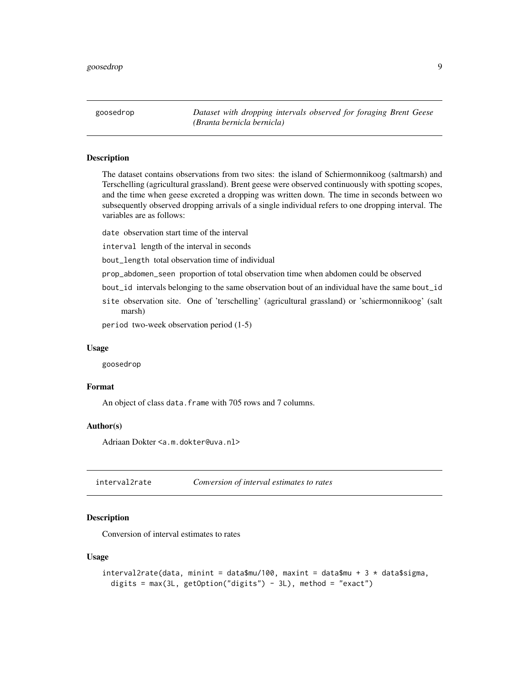<span id="page-8-2"></span><span id="page-8-0"></span>goosedrop *Dataset with dropping intervals observed for foraging Brent Geese (Branta bernicla bernicla)*

#### Description

The dataset contains observations from two sites: the island of Schiermonnikoog (saltmarsh) and Terschelling (agricultural grassland). Brent geese were observed continuously with spotting scopes, and the time when geese excreted a dropping was written down. The time in seconds between wo subsequently observed dropping arrivals of a single individual refers to one dropping interval. The variables are as follows:

date observation start time of the interval

interval length of the interval in seconds

bout\_length total observation time of individual

prop\_abdomen\_seen proportion of total observation time when abdomen could be observed

- bout\_id intervals belonging to the same observation bout of an individual have the same bout\_id
- site observation site. One of 'terschelling' (agricultural grassland) or 'schiermonnikoog' (salt marsh)

period two-week observation period (1-5)

#### Usage

goosedrop

#### Format

An object of class data.frame with 705 rows and 7 columns.

#### Author(s)

Adriaan Dokter <a.m.dokter@uva.nl>

<span id="page-8-1"></span>interval2rate *Conversion of interval estimates to rates*

### Description

Conversion of interval estimates to rates

#### Usage

```
interval2rate(data, minint = data$mu/100, maxint = data$mu + 3 * data$sigma,
 digits = max(3L, getOption("digits") - 3L), method = "exact")
```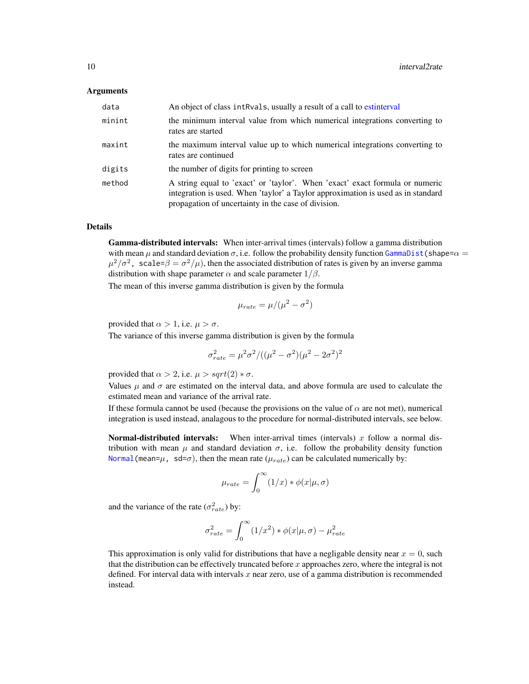#### <span id="page-9-0"></span>Arguments

| data   | An object of class int Rvals, usually a result of a call to estinterval                                                                                                                                                 |
|--------|-------------------------------------------------------------------------------------------------------------------------------------------------------------------------------------------------------------------------|
| minint | the minimum interval value from which numerical integrations converting to<br>rates are started                                                                                                                         |
| maxint | the maximum interval value up to which numerical integrations converting to<br>rates are continued                                                                                                                      |
| digits | the number of digits for printing to screen                                                                                                                                                                             |
| method | A string equal to 'exact' or 'taylor'. When 'exact' exact formula or numeric<br>integration is used. When 'taylor' a Taylor approximation is used as in standard<br>propagation of uncertainty in the case of division. |

#### Details

Gamma-distributed intervals: When inter-arrival times (intervals) follow a gamma distribution with mean  $\mu$  and standard deviation  $\sigma$ , i.e. follow the probability density function [GammaDist\(](#page-0-0)shape= $\alpha$  =  $\mu^2/\sigma^2$ , scale= $\beta = \sigma^2/\mu$ ), then the associated distribution of rates is given by an inverse gamma distribution with shape parameter  $\alpha$  and scale parameter  $1/\beta$ .

The mean of this inverse gamma distribution is given by the formula

$$
\mu_{rate} = \mu/(\mu^2 - \sigma^2)
$$

provided that  $\alpha > 1$ , i.e.  $\mu > \sigma$ .

The variance of this inverse gamma distribution is given by the formula

$$
\sigma_{rate}^2 = \mu^2 \sigma^2 / ((\mu^2 - \sigma^2)(\mu^2 - 2\sigma^2)^2)
$$

provided that  $\alpha > 2$ , i.e.  $\mu > sqrt(2) * \sigma$ .

Values  $\mu$  and  $\sigma$  are estimated on the interval data, and above formula are used to calculate the estimated mean and variance of the arrival rate.

If these formula cannot be used (because the provisions on the value of  $\alpha$  are not met), numerical integration is used instead, analagous to the procedure for normal-distributed intervals, see below.

**Normal-distributed intervals:** When inter-arrival times (intervals) x follow a normal distribution with mean  $\mu$  and standard deviation  $\sigma$ , i.e. follow the probability density function Normal (mean= $\mu$ , sd= $\sigma$ ), then the mean rate ( $\mu_{rate}$ ) can be calculated numerically by:

$$
\mu_{rate} = \int_0^\infty (1/x) * \phi(x|\mu, \sigma)
$$

and the variance of the rate  $(\sigma_{rate}^2)$  by:

$$
\sigma_{rate}^2 = \int_0^\infty (1/x^2) * \phi(x|\mu, \sigma) - \mu_{rate}^2
$$

This approximation is only valid for distributions that have a negligable density near  $x = 0$ , such that the distribution can be effectively truncated before  $x$  approaches zero, where the integral is not defined. For interval data with intervals  $x$  near zero, use of a gamma distribution is recommended instead.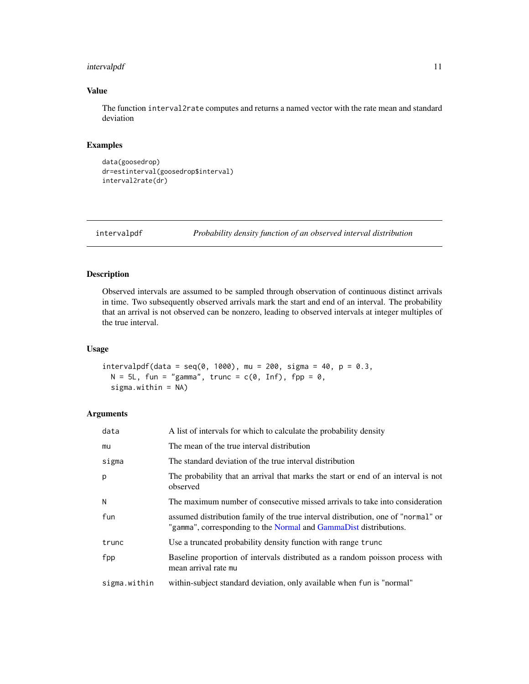#### <span id="page-10-0"></span>intervalpdf 11

#### Value

The function interval2rate computes and returns a named vector with the rate mean and standard deviation

#### Examples

```
data(goosedrop)
dr=estinterval(goosedrop$interval)
interval2rate(dr)
```
<span id="page-10-1"></span>intervalpdf *Probability density function of an observed interval distribution*

#### Description

Observed intervals are assumed to be sampled through observation of continuous distinct arrivals in time. Two subsequently observed arrivals mark the start and end of an interval. The probability that an arrival is not observed can be nonzero, leading to observed intervals at integer multiples of the true interval.

#### Usage

```
intervalpdf(data = seq(0, 1000), mu = 200, sigma = 40, p = 0.3,N = 5L, fun = "gamma", trunc = c(0, Inf), fpp = 0,
 sigma.within = NA)
```

| data         | A list of intervals for which to calculate the probability density                                                                                     |
|--------------|--------------------------------------------------------------------------------------------------------------------------------------------------------|
| mu           | The mean of the true interval distribution                                                                                                             |
| sigma        | The standard deviation of the true interval distribution                                                                                               |
| p            | The probability that an arrival that marks the start or end of an interval is not<br>observed                                                          |
| N            | The maximum number of consecutive missed arrivals to take into consideration                                                                           |
| fun          | assumed distribution family of the true interval distribution, one of "normal" or<br>"gamma", corresponding to the Normal and GammaDist distributions. |
| trunc        | Use a truncated probability density function with range trunc                                                                                          |
| fpp          | Baseline proportion of intervals distributed as a random poisson process with<br>mean arrival rate mu                                                  |
| sigma.within | within-subject standard deviation, only available when fun is "normal"                                                                                 |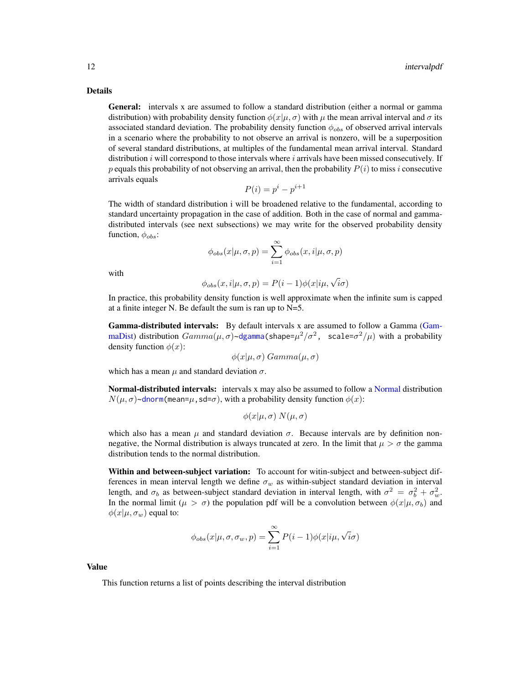<span id="page-11-0"></span>Details

General: intervals x are assumed to follow a standard distribution (either a normal or gamma distribution) with probability density function  $\phi(x|\mu, \sigma)$  with  $\mu$  the mean arrival interval and  $\sigma$  its associated standard deviation. The probability density function  $\phi_{obs}$  of observed arrival intervals in a scenario where the probability to not observe an arrival is nonzero, will be a superposition of several standard distributions, at multiples of the fundamental mean arrival interval. Standard distribution  $i$  will correspond to those intervals where  $i$  arrivals have been missed consecutively. If p equals this probability of not observing an arrival, then the probability  $P(i)$  to miss i consecutive arrivals equals

$$
P(i) = p^i - p^{i+1}
$$

The width of standard distribution i will be broadened relative to the fundamental, according to standard uncertainty propagation in the case of addition. Both in the case of normal and gammadistributed intervals (see next subsections) we may write for the observed probability density function,  $\phi_{obs}$ :

$$
\phi_{obs}(x|\mu, \sigma, p) = \sum_{i=1}^{\infty} \phi_{obs}(x, i|\mu, \sigma, p)
$$

with

$$
\phi_{obs}(x, i | \mu, \sigma, p) = P(i - 1)\phi(x | i\mu, \sqrt{i}\sigma)
$$

In practice, this probability density function is well approximate when the infinite sum is capped at a finite integer N. Be default the sum is ran up to N=5.

Gamma-distributed intervals: By default intervals x are assumed to follow a Gamma [\(Gam](#page-0-0)[maDist\)](#page-0-0) distribution  $Gamma(\mu, \sigma)$ ~[dgamma\(](#page-0-0)shape= $\mu^2/\sigma^2$ , scale= $\sigma^2/\mu$ ) with a probability density function  $\phi(x)$ :

$$
\phi(x|\mu,\sigma)
$$
Gamma $(\mu,\sigma)$ 

which has a mean  $\mu$  and standard deviation  $\sigma$ .

Normal-distributed intervals: intervals x may also be assumed to follow a [Normal](#page-0-0) distribution  $N(\mu, \sigma)$ ~[dnorm\(](#page-0-0)mean= $\mu$ , sd= $\sigma$ ), with a probability density function  $\phi(x)$ :

$$
\phi(x|\mu,\sigma) N(\mu,\sigma)
$$

which also has a mean  $\mu$  and standard deviation  $\sigma$ . Because intervals are by definition nonnegative, the Normal distribution is always truncated at zero. In the limit that  $\mu > \sigma$  the gamma distribution tends to the normal distribution.

Within and between-subject variation: To account for witin-subject and between-subject differences in mean interval length we define  $\sigma_w$  as within-subject standard deviation in interval length, and  $\sigma_b$  as between-subject standard deviation in interval length, with  $\sigma^2 = \sigma_b^2 + \sigma_w^2$ . In the normal limit ( $\mu > \sigma$ ) the population pdf will be a convolution between  $\phi(x|\mu, \sigma_b)$  and  $\phi(x|\mu, \sigma_w)$  equal to:

$$
\phi_{obs}(x|\mu, \sigma, \sigma_w, p) = \sum_{i=1}^{\infty} P(i-1)\phi(x|i\mu, \sqrt{i}\sigma)
$$

Value

This function returns a list of points describing the interval distribution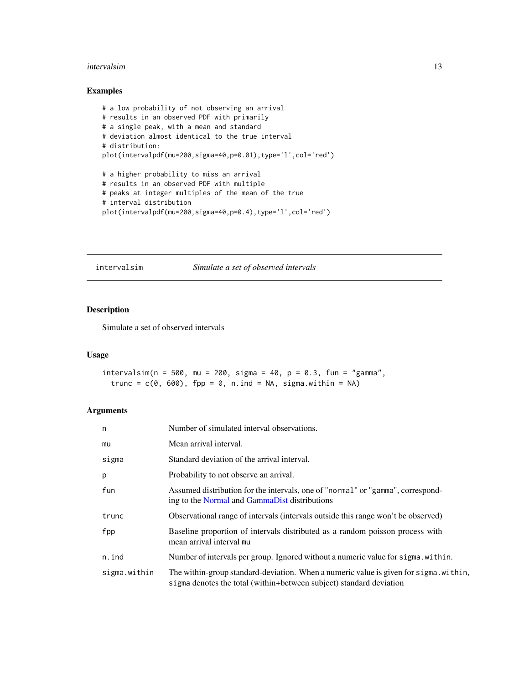#### <span id="page-12-0"></span>intervalsim and the contract of the contract of the contract of the contract of the contract of the contract of the contract of the contract of the contract of the contract of the contract of the contract of the contract o

#### Examples

```
# a low probability of not observing an arrival
# results in an observed PDF with primarily
# a single peak, with a mean and standard
# deviation almost identical to the true interval
# distribution:
plot(intervalpdf(mu=200,sigma=40,p=0.01),type='l',col='red')
# a higher probability to miss an arrival
# results in an observed PDF with multiple
# peaks at integer multiples of the mean of the true
# interval distribution
```
plot(intervalpdf(mu=200,sigma=40,p=0.4),type='l',col='red')

<span id="page-12-1"></span>intervalsim *Simulate a set of observed intervals*

#### Description

Simulate a set of observed intervals

#### Usage

intervalsim( $n = 500$ , mu = 200, sigma = 40,  $p = 0.3$ , fun = "gamma", trunc =  $c(0, 600)$ , fpp = 0, n.ind = NA, sigma.within = NA)

| n            | Number of simulated interval observations.                                                                                                                   |
|--------------|--------------------------------------------------------------------------------------------------------------------------------------------------------------|
| mu           | Mean arrival interval.                                                                                                                                       |
| sigma        | Standard deviation of the arrival interval.                                                                                                                  |
| p            | Probability to not observe an arrival.                                                                                                                       |
| fun          | Assumed distribution for the intervals, one of "normal" or "gamma", correspond-<br>ing to the Normal and GammaDist distributions                             |
| trunc        | Observational range of intervals (intervals outside this range won't be observed)                                                                            |
| fpp          | Baseline proportion of intervals distributed as a random poisson process with<br>mean arrival interval mu                                                    |
| n.ind        | Number of intervals per group. Ignored without a numeric value for sigma, within.                                                                            |
| sigma.within | The within-group standard-deviation. When a numeric value is given for sigma, within,<br>sigma denotes the total (within+between subject) standard deviation |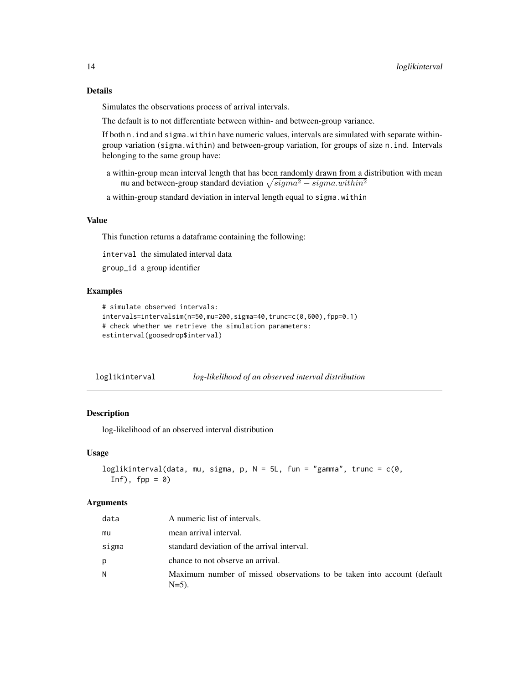<span id="page-13-0"></span>Simulates the observations process of arrival intervals.

The default is to not differentiate between within- and between-group variance.

If both n.ind and sigma.within have numeric values, intervals are simulated with separate withingroup variation (sigma.within) and between-group variation, for groups of size n.ind. Intervals belonging to the same group have:

- a within-group mean interval length that has been randomly drawn from a distribution with mean mu and between-group standard deviation  $\sqrt{sigma^2 - sigma.within^2}$
- a within-group standard deviation in interval length equal to sigma.within

#### Value

This function returns a dataframe containing the following:

interval the simulated interval data

group\_id a group identifier

#### Examples

```
# simulate observed intervals:
intervals=intervalsim(n=50,mu=200,sigma=40,trunc=c(0,600),fpp=0.1)
# check whether we retrieve the simulation parameters:
estinterval(goosedrop$interval)
```
loglikinterval *log-likelihood of an observed interval distribution*

#### Description

log-likelihood of an observed interval distribution

#### Usage

```
loglikinterval(data, mu, sigma, p, N = 5L, fun = "gamma", trunc = c(0,Inf), fpp = 0
```

| data  | A numeric list of intervals.                                                        |
|-------|-------------------------------------------------------------------------------------|
| mu    | mean arrival interval.                                                              |
| sigma | standard deviation of the arrival interval.                                         |
| р     | chance to not observe an arrival.                                                   |
| N     | Maximum number of missed observations to be taken into account (default<br>$N=5$ ). |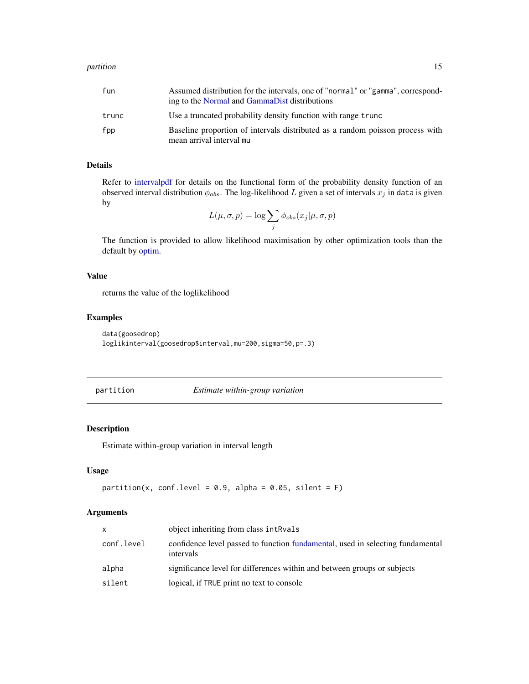<span id="page-14-0"></span>

| fun   | Assumed distribution for the intervals, one of "normal" or "gamma", correspond-<br>ing to the Normal and GammaDist distributions |
|-------|----------------------------------------------------------------------------------------------------------------------------------|
| trunc | Use a truncated probability density function with range trunc                                                                    |
| fpp   | Baseline proportion of intervals distributed as a random poisson process with<br>mean arrival interval mu                        |

#### Details

Refer to [intervalpdf](#page-10-1) for details on the functional form of the probability density function of an observed interval distribution  $\phi_{obs}$ . The log-likelihood L given a set of intervals  $x_j$  in data is given by

$$
L(\mu, \sigma, p) = \log \sum_{j} \phi_{obs}(x_j | \mu, \sigma, p)
$$

The function is provided to allow likelihood maximisation by other optimization tools than the default by [optim.](#page-0-0)

#### Value

returns the value of the loglikelihood

#### Examples

```
data(goosedrop)
loglikinterval(goosedrop$interval,mu=200,sigma=50,p=.3)
```
<span id="page-14-1"></span>partition *Estimate within-group variation*

#### Description

Estimate within-group variation in interval length

#### Usage

```
partition(x, conf.level = 0.9, alpha = 0.05, silent = F)
```

| x          | object inheriting from class intRvals                                                       |
|------------|---------------------------------------------------------------------------------------------|
| conf.level | confidence level passed to function fundamental, used in selecting fundamental<br>intervals |
| alpha      | significance level for differences within and between groups or subjects                    |
| silent     | logical, if TRUE print no text to console                                                   |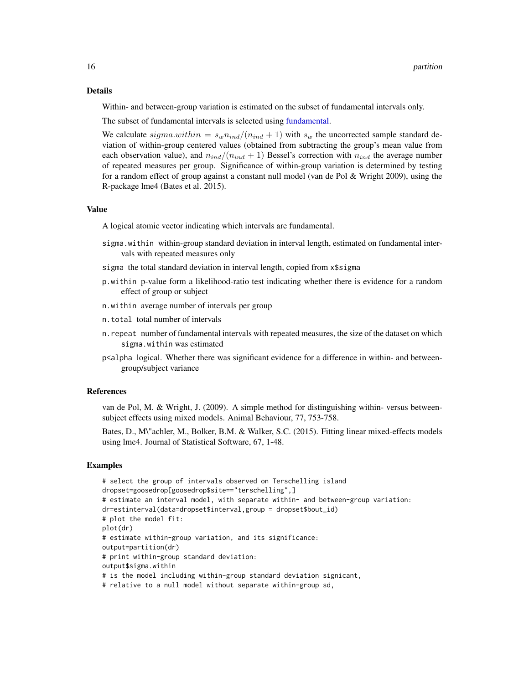#### <span id="page-15-0"></span>Details

Within- and between-group variation is estimated on the subset of fundamental intervals only.

The subset of fundamental intervals is selected using [fundamental.](#page-7-1)

We calculate  $sigma.within = s_wn_{ind}/(n_{ind} + 1)$  with  $s_w$  the uncorrected sample standard deviation of within-group centered values (obtained from subtracting the group's mean value from each observation value), and  $n_{ind}/(n_{ind} + 1)$  Bessel's correction with  $n_{ind}$  the average number of repeated measures per group. Significance of within-group variation is determined by testing for a random effect of group against a constant null model (van de Pol  $&$  Wright 2009), using the R-package lme4 (Bates et al. 2015).

#### Value

A logical atomic vector indicating which intervals are fundamental.

- sigma.within within-group standard deviation in interval length, estimated on fundamental intervals with repeated measures only
- sigma the total standard deviation in interval length, copied from x\$sigma
- p.within p-value form a likelihood-ratio test indicating whether there is evidence for a random effect of group or subject
- n.within average number of intervals per group
- n.total total number of intervals
- n.repeat number of fundamental intervals with repeated measures, the size of the dataset on which sigma.within was estimated
- p<alpha logical. Whether there was significant evidence for a difference in within- and betweengroup/subject variance

#### References

van de Pol, M. & Wright, J. (2009). A simple method for distinguishing within- versus betweensubject effects using mixed models. Animal Behaviour, 77, 753-758.

Bates, D., M\"achler, M., Bolker, B.M. & Walker, S.C. (2015). Fitting linear mixed-effects models using lme4. Journal of Statistical Software, 67, 1-48.

#### Examples

```
# select the group of intervals observed on Terschelling island
dropset=goosedrop[goosedrop$site=="terschelling",]
# estimate an interval model, with separate within- and between-group variation:
dr=estinterval(data=dropset$interval,group = dropset$bout_id)
# plot the model fit:
plot(dr)
# estimate within-group variation, and its significance:
output=partition(dr)
# print within-group standard deviation:
output$sigma.within
# is the model including within-group standard deviation signicant,
# relative to a null model without separate within-group sd,
```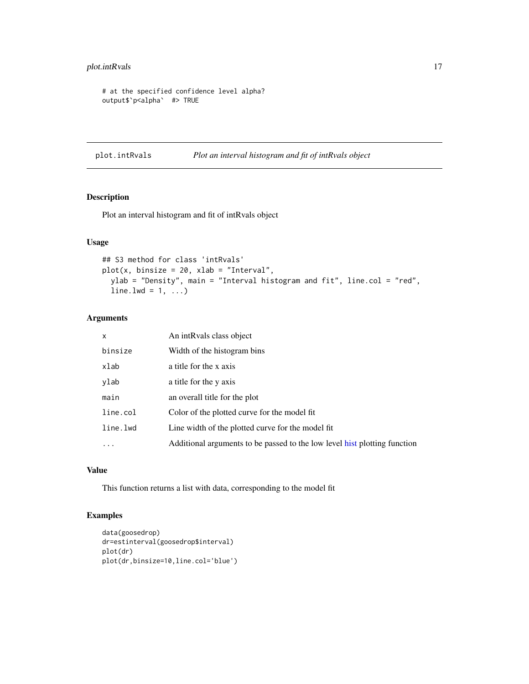#### <span id="page-16-0"></span>plot.intRvals 17

```
# at the specified confidence level alpha?
output$`p<alpha` #> TRUE
```
<span id="page-16-1"></span>plot.intRvals *Plot an interval histogram and fit of intRvals object*

#### Description

Plot an interval histogram and fit of intRvals object

#### Usage

```
## S3 method for class 'intRvals'
plot(x, binsize = 20, xlab = "Interval",
 ylab = "Density", main = "Interval histogram and fit", line.col = "red",
 line.1wd = 1, ...
```
#### Arguments

| $\mathsf{x}$ | An intRvals class object                                                  |
|--------------|---------------------------------------------------------------------------|
| binsize      | Width of the histogram bins                                               |
| xlab         | a title for the x axis                                                    |
| ylab         | a title for the y axis                                                    |
| main         | an overall title for the plot                                             |
| line.col     | Color of the plotted curve for the model fit                              |
| line.lwd     | Line width of the plotted curve for the model fit                         |
| $\ddots$ .   | Additional arguments to be passed to the low level hist plotting function |

#### Value

This function returns a list with data, corresponding to the model fit

#### Examples

```
data(goosedrop)
dr=estinterval(goosedrop$interval)
plot(dr)
plot(dr,binsize=10,line.col='blue')
```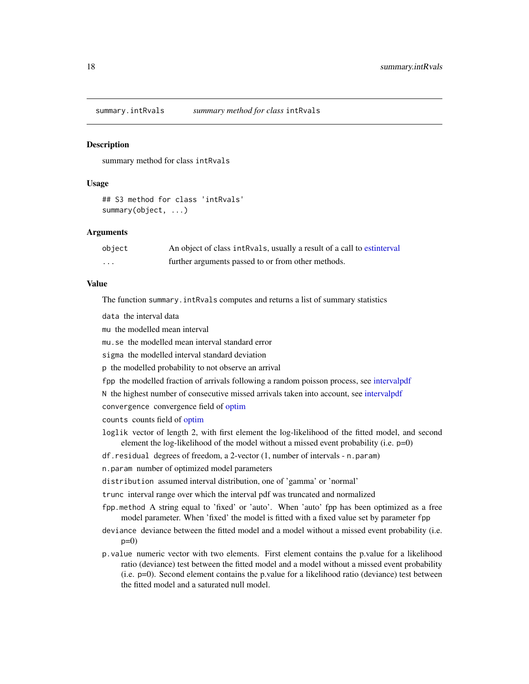<span id="page-17-0"></span>summary.intRvals *summary method for class* intRvals

#### **Description**

summary method for class intRvals

#### Usage

## S3 method for class 'intRvals' summary(object, ...)

#### Arguments

| object | An object of class intRvals, usually a result of a call to estinterval |
|--------|------------------------------------------------------------------------|
| .      | further arguments passed to or from other methods.                     |

#### Value

The function summary.intRvals computes and returns a list of summary statistics

data the interval data

mu the modelled mean interval

mu.se the modelled mean interval standard error

sigma the modelled interval standard deviation

p the modelled probability to not observe an arrival

fpp the modelled fraction of arrivals following a random poisson process, see [intervalpdf](#page-10-1)

N the highest number of consecutive missed arrivals taken into account, see [intervalpdf](#page-10-1)

convergence convergence field of [optim](#page-0-0)

counts counts field of [optim](#page-0-0)

loglik vector of length 2, with first element the log-likelihood of the fitted model, and second element the log-likelihood of the model without a missed event probability (i.e. p=0)

df.residual degrees of freedom, a 2-vector (1, number of intervals - n.param)

n.param number of optimized model parameters

distribution assumed interval distribution, one of 'gamma' or 'normal'

trunc interval range over which the interval pdf was truncated and normalized

fpp.method A string equal to 'fixed' or 'auto'. When 'auto' fpp has been optimized as a free model parameter. When 'fixed' the model is fitted with a fixed value set by parameter fpp

deviance deviance between the fitted model and a model without a missed event probability (i.e.  $p=0$ )

p.value numeric vector with two elements. First element contains the p.value for a likelihood ratio (deviance) test between the fitted model and a model without a missed event probability (i.e. p=0). Second element contains the p.value for a likelihood ratio (deviance) test between the fitted model and a saturated null model.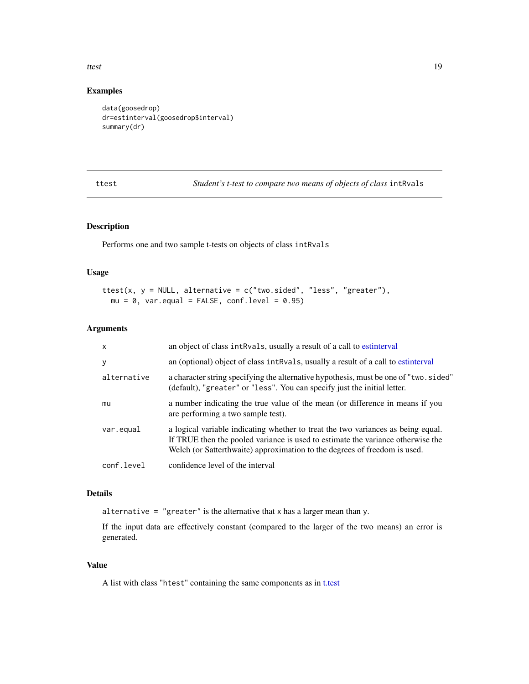#### <span id="page-18-0"></span>ttest text and the state of the state of the state of the state of the state of the state of the state of the state of the state of the state of the state of the state of the state of the state of the state of the state of

#### Examples

```
data(goosedrop)
dr=estinterval(goosedrop$interval)
summary(dr)
```
<span id="page-18-1"></span>ttest *Student's t-test to compare two means of objects of class* intRvals

#### Description

Performs one and two sample t-tests on objects of class intRvals

#### Usage

```
ttest(x, y = NULL, alternative = c("two.sided", "less", "greater"),
 mu = 0, var.equal = FALSE, conf.level = 0.95)
```
#### Arguments

| $\mathsf{x}$ | an object of class intRvals, usually a result of a call to estinterval                                                                                                                                                                           |
|--------------|--------------------------------------------------------------------------------------------------------------------------------------------------------------------------------------------------------------------------------------------------|
| y            | an (optional) object of class intRvals, usually a result of a call to estinterval                                                                                                                                                                |
| alternative  | a character string specifying the alternative hypothesis, must be one of "two.sided"<br>(default), "greater" or "less". You can specify just the initial letter.                                                                                 |
| mu           | a number indicating the true value of the mean (or difference in means if you<br>are performing a two sample test).                                                                                                                              |
| var.equal    | a logical variable indicating whether to treat the two variances as being equal.<br>If TRUE then the pooled variance is used to estimate the variance otherwise the<br>Welch (or Satterthwaite) approximation to the degrees of freedom is used. |
| conf.level   | confidence level of the interval                                                                                                                                                                                                                 |

#### Details

alternative = "greater" is the alternative that  $x$  has a larger mean than  $y$ .

If the input data are effectively constant (compared to the larger of the two means) an error is generated.

#### Value

A list with class "htest" containing the same components as in [t.test](#page-0-0)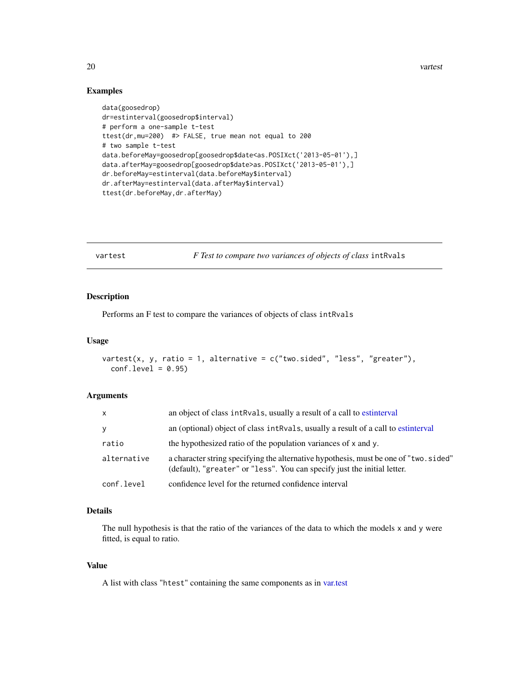20 vartest vartest vartest vartest vartest vartest vartest vartest vartest vartest vartest vartest vartest vartest vartest vartest vartest vartest vartest vartest vartest vartest vartest vartest vartest vartest vartest var

#### Examples

```
data(goosedrop)
dr=estinterval(goosedrop$interval)
# perform a one-sample t-test
ttest(dr,mu=200) #> FALSE, true mean not equal to 200
# two sample t-test
data.beforeMay=goosedrop[goosedrop$date<as.POSIXct('2013-05-01'),]
data.afterMay=goosedrop[goosedrop$date>as.POSIXct('2013-05-01'),]
dr.beforeMay=estinterval(data.beforeMay$interval)
dr.afterMay=estinterval(data.afterMay$interval)
ttest(dr.beforeMay,dr.afterMay)
```
<span id="page-19-1"></span>vartest *F Test to compare two variances of objects of class* intRvals

#### Description

Performs an F test to compare the variances of objects of class intRvals

#### Usage

```
vartest(x, y, ratio = 1, alternative = c("two-sided", "less", "greater"),conf<math>level = 0.95
```
#### Arguments

| X           | an object of class intRvals, usually a result of a call to estinterval                                                                                            |
|-------------|-------------------------------------------------------------------------------------------------------------------------------------------------------------------|
| y           | an (optional) object of class intRvals, usually a result of a call to estinterval                                                                                 |
| ratio       | the hypothesized ratio of the population variances of x and y.                                                                                                    |
| alternative | a character string specifying the alternative hypothesis, must be one of "two. sided"<br>(default), "greater" or "less". You can specify just the initial letter. |
| conf.level  | confidence level for the returned confidence interval                                                                                                             |

#### Details

The null hypothesis is that the ratio of the variances of the data to which the models x and y were fitted, is equal to ratio.

#### Value

A list with class "htest" containing the same components as in [var.test](#page-0-0)

<span id="page-19-0"></span>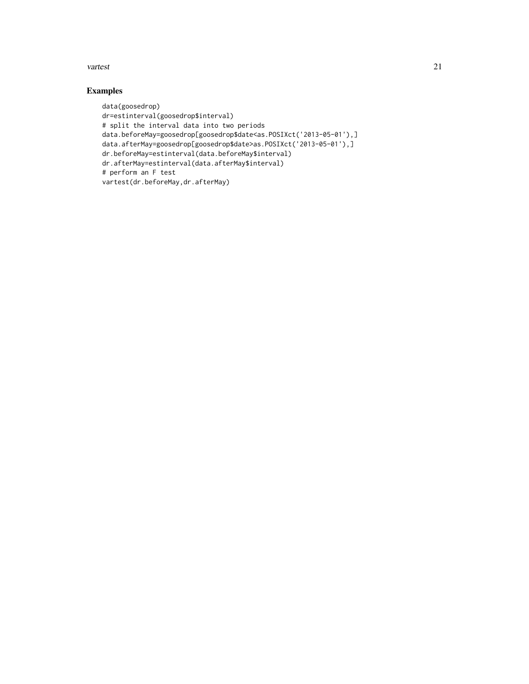#### vartest 21

### Examples

```
data(goosedrop)
dr=estinterval(goosedrop$interval)
# split the interval data into two periods
data.beforeMay=goosedrop[goosedrop$date<as.POSIXct('2013-05-01'),]
data.afterMay=goosedrop[goosedrop$date>as.POSIXct('2013-05-01'),]
dr.beforeMay=estinterval(data.beforeMay$interval)
dr.afterMay=estinterval(data.afterMay$interval)
# perform an F test
vartest(dr.beforeMay,dr.afterMay)
```